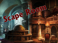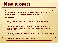# New proyect

It´s time to start a new proyect. One we were talking about before starting this period of quarantine: **Do your own Scape Room.**

#### **OBJECTIVES**

- Design the setting and the plot, the characters and the room where everything takes place.
- **Present the scape room to the gamers with a thrilling letter in which you** tell them the story and encourage them to do their best and to fulfil the different tasks.
- Prepare the different tasks using original ways to solve it, the characters and the materials used.
- Present the scaperoom with a power point file.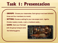## Task 1: Presentation

- **GROUPS:** Choose your classmates. Each group must have between three and four members (no more!).
- **- SETTING**: Choose a setting for your new scape room: Agatha Christie mystery novels, a jail, a medieval castle…
- **- GAME:** Start your first task with the group trying to solve the following game.

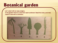### Botanical garden

Let's start with an easy enigma. In the garden there is a tree from each continent. Read the clues, and next, match a tree with a continent.

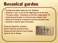## Botanical garden

Europe and Asian trees are not leafless. ✓Oceania´s one is not at the begining nor at the end.  $\checkmark$  The palm doesn t belong to a continen begining by "A". ✓Americá and Europe´s trunks are the widest ones. ✓Africa and Oceania´s trees are not the shortest ones. ✓America´s tree is next to the palm.

Once you have the solution, send it with the names of your Group and the theme of your scape room to me in Teams.

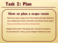### Task 2: Plan

### How to plan a scape room

- Read how to plan a scape room of this website (although wikipedia is not a reliable site to look for information, this Wikihow will be useful).
- <https://www.wikihow.com/Plan-an-Escape-Room>
- Design the flow chart of the scape room. You have an example in the next slide. Don´t worry, you can change it whenever you want.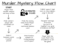### <u>Murder Mystery Flow Chart</u>

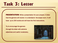### Task 3: Letter

**PRESENTATION:** Write a presentation for your proyect. A letter that the gamers will receive to understand the scape room. It will have up to 250 words and will have the first instructions.

Try to encourage the gamers through the letter with extreme adjectives and useful vocabulary.

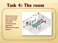### Task 4: The room

Describe the room where everything takes place with descriptive vocabulary and adjectives. Where are the clues hidden?

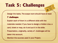# Task 5: Challenges

- Design the tasks. The scape room should have at least **7 challenges**.
- Explain each of them in a different slide with the materials needed. If you have to design a hidden clue, a card, ticket or map, do it and put it in the slide.
- Presentation, originality, variety of challenges will be taken into account.
- Mention the sources used in your Project.